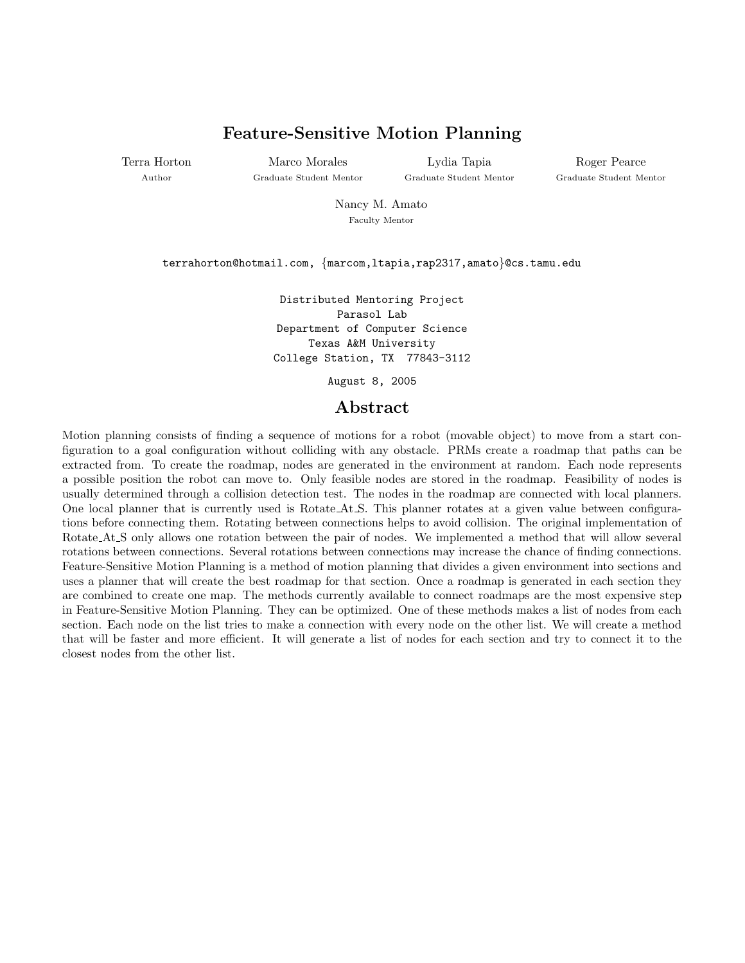## Feature-Sensitive Motion Planning

Terra Horton Author

Marco Morales Graduate Student Mentor

Lydia Tapia Graduate Student Mentor

Roger Pearce Graduate Student Mentor

Nancy M. Amato Faculty Mentor

terrahorton@hotmail.com, {marcom,ltapia,rap2317,amato}@cs.tamu.edu

Distributed Mentoring Project Parasol Lab Department of Computer Science Texas A&M University College Station, TX 77843-3112

August 8, 2005

### Abstract

Motion planning consists of finding a sequence of motions for a robot (movable object) to move from a start configuration to a goal configuration without colliding with any obstacle. PRMs create a roadmap that paths can be extracted from. To create the roadmap, nodes are generated in the environment at random. Each node represents a possible position the robot can move to. Only feasible nodes are stored in the roadmap. Feasibility of nodes is usually determined through a collision detection test. The nodes in the roadmap are connected with local planners. One local planner that is currently used is Rotate At S. This planner rotates at a given value between configurations before connecting them. Rotating between connections helps to avoid collision. The original implementation of Rotate At S only allows one rotation between the pair of nodes. We implemented a method that will allow several rotations between connections. Several rotations between connections may increase the chance of finding connections. Feature-Sensitive Motion Planning is a method of motion planning that divides a given environment into sections and uses a planner that will create the best roadmap for that section. Once a roadmap is generated in each section they are combined to create one map. The methods currently available to connect roadmaps are the most expensive step in Feature-Sensitive Motion Planning. They can be optimized. One of these methods makes a list of nodes from each section. Each node on the list tries to make a connection with every node on the other list. We will create a method that will be faster and more efficient. It will generate a list of nodes for each section and try to connect it to the closest nodes from the other list.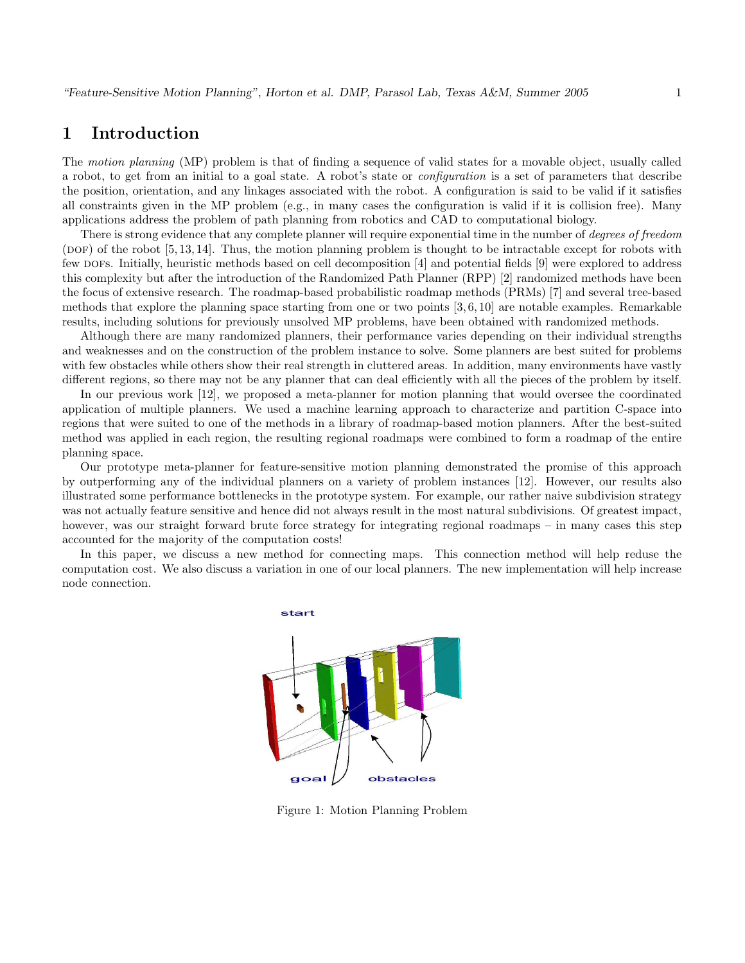### 1 Introduction

The motion planning (MP) problem is that of finding a sequence of valid states for a movable object, usually called a robot, to get from an initial to a goal state. A robot's state or configuration is a set of parameters that describe the position, orientation, and any linkages associated with the robot. A configuration is said to be valid if it satisfies all constraints given in the MP problem (e.g., in many cases the configuration is valid if it is collision free). Many applications address the problem of path planning from robotics and CAD to computational biology.

There is strong evidence that any complete planner will require exponential time in the number of *degrees of freedom*  $(DOF)$  of the robot [5, 13, 14]. Thus, the motion planning problem is thought to be intractable except for robots with few dofs. Initially, heuristic methods based on cell decomposition [4] and potential fields [9] were explored to address this complexity but after the introduction of the Randomized Path Planner (RPP) [2] randomized methods have been the focus of extensive research. The roadmap-based probabilistic roadmap methods (PRMs) [7] and several tree-based methods that explore the planning space starting from one or two points [3, 6, 10] are notable examples. Remarkable results, including solutions for previously unsolved MP problems, have been obtained with randomized methods.

Although there are many randomized planners, their performance varies depending on their individual strengths and weaknesses and on the construction of the problem instance to solve. Some planners are best suited for problems with few obstacles while others show their real strength in cluttered areas. In addition, many environments have vastly different regions, so there may not be any planner that can deal efficiently with all the pieces of the problem by itself.

In our previous work [12], we proposed a meta-planner for motion planning that would oversee the coordinated application of multiple planners. We used a machine learning approach to characterize and partition C-space into regions that were suited to one of the methods in a library of roadmap-based motion planners. After the best-suited method was applied in each region, the resulting regional roadmaps were combined to form a roadmap of the entire planning space.

Our prototype meta-planner for feature-sensitive motion planning demonstrated the promise of this approach by outperforming any of the individual planners on a variety of problem instances [12]. However, our results also illustrated some performance bottlenecks in the prototype system. For example, our rather naive subdivision strategy was not actually feature sensitive and hence did not always result in the most natural subdivisions. Of greatest impact, however, was our straight forward brute force strategy for integrating regional roadmaps – in many cases this step accounted for the majority of the computation costs!

In this paper, we discuss a new method for connecting maps. This connection method will help reduse the computation cost. We also discuss a variation in one of our local planners. The new implementation will help increase node connection.



Figure 1: Motion Planning Problem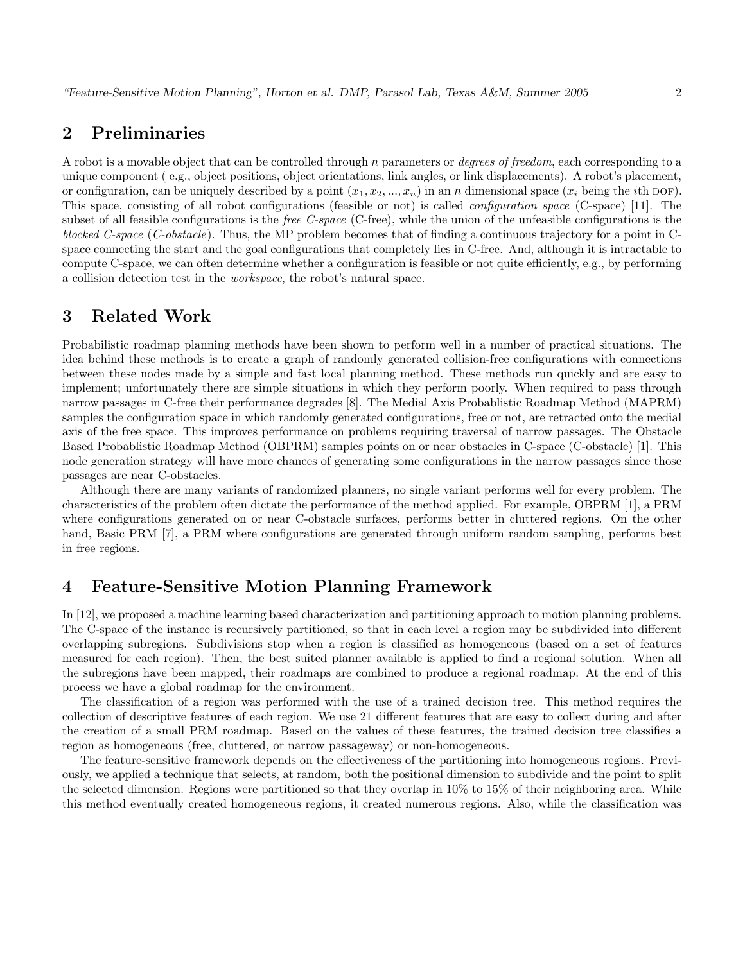### 2 Preliminaries

A robot is a movable object that can be controlled through n parameters or *degrees of freedom*, each corresponding to a unique component ( e.g., object positions, object orientations, link angles, or link displacements). A robot's placement, or configuration, can be uniquely described by a point  $(x_1, x_2, ..., x_n)$  in an n dimensional space  $(x_i$  being the *i*th DOF). This space, consisting of all robot configurations (feasible or not) is called configuration space (C-space) [11]. The subset of all feasible configurations is the *free C-space* (C-free), while the union of the unfeasible configurations is the blocked C-space (C-obstacle). Thus, the MP problem becomes that of finding a continuous trajectory for a point in Cspace connecting the start and the goal configurations that completely lies in C-free. And, although it is intractable to compute C-space, we can often determine whether a configuration is feasible or not quite efficiently, e.g., by performing a collision detection test in the workspace, the robot's natural space.

# 3 Related Work

Probabilistic roadmap planning methods have been shown to perform well in a number of practical situations. The idea behind these methods is to create a graph of randomly generated collision-free configurations with connections between these nodes made by a simple and fast local planning method. These methods run quickly and are easy to implement; unfortunately there are simple situations in which they perform poorly. When required to pass through narrow passages in C-free their performance degrades [8]. The Medial Axis Probablistic Roadmap Method (MAPRM) samples the configuration space in which randomly generated configurations, free or not, are retracted onto the medial axis of the free space. This improves performance on problems requiring traversal of narrow passages. The Obstacle Based Probablistic Roadmap Method (OBPRM) samples points on or near obstacles in C-space (C-obstacle) [1]. This node generation strategy will have more chances of generating some configurations in the narrow passages since those passages are near C-obstacles.

Although there are many variants of randomized planners, no single variant performs well for every problem. The characteristics of the problem often dictate the performance of the method applied. For example, OBPRM [1], a PRM where configurations generated on or near C-obstacle surfaces, performs better in cluttered regions. On the other hand, Basic PRM [7], a PRM where configurations are generated through uniform random sampling, performs best in free regions.

### 4 Feature-Sensitive Motion Planning Framework

In [12], we proposed a machine learning based characterization and partitioning approach to motion planning problems. The C-space of the instance is recursively partitioned, so that in each level a region may be subdivided into different overlapping subregions. Subdivisions stop when a region is classified as homogeneous (based on a set of features measured for each region). Then, the best suited planner available is applied to find a regional solution. When all the subregions have been mapped, their roadmaps are combined to produce a regional roadmap. At the end of this process we have a global roadmap for the environment.

The classification of a region was performed with the use of a trained decision tree. This method requires the collection of descriptive features of each region. We use 21 different features that are easy to collect during and after the creation of a small PRM roadmap. Based on the values of these features, the trained decision tree classifies a region as homogeneous (free, cluttered, or narrow passageway) or non-homogeneous.

The feature-sensitive framework depends on the effectiveness of the partitioning into homogeneous regions. Previously, we applied a technique that selects, at random, both the positional dimension to subdivide and the point to split the selected dimension. Regions were partitioned so that they overlap in 10% to 15% of their neighboring area. While this method eventually created homogeneous regions, it created numerous regions. Also, while the classification was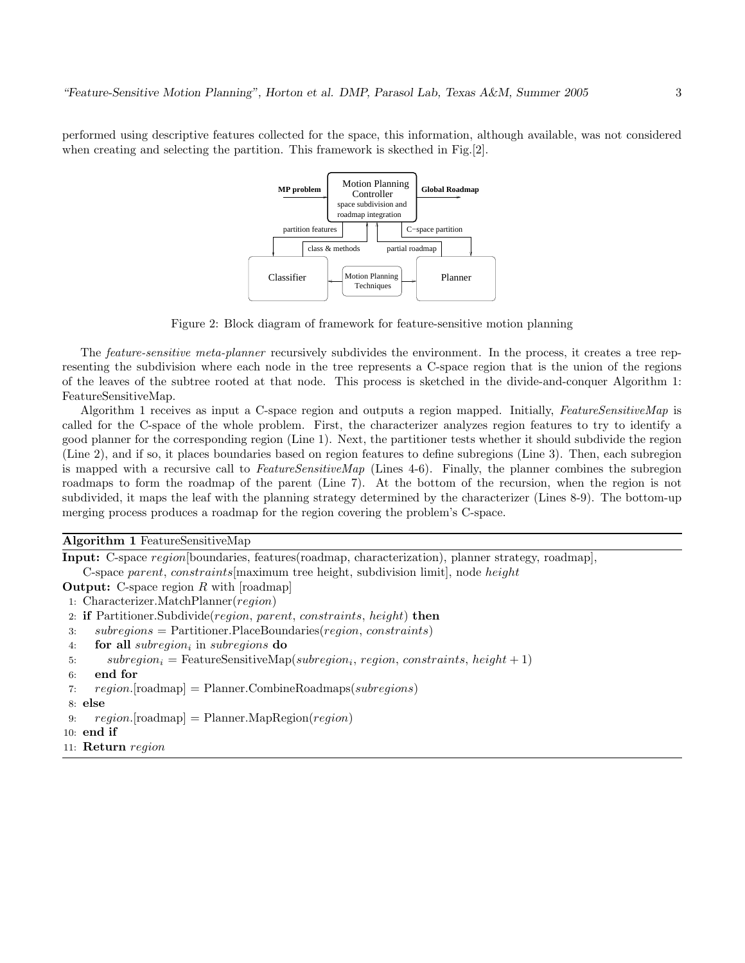performed using descriptive features collected for the space, this information, although available, was not considered when creating and selecting the partition. This framework is skecthed in Fig. [2].



Figure 2: Block diagram of framework for feature-sensitive motion planning

The feature-sensitive meta-planner recursively subdivides the environment. In the process, it creates a tree representing the subdivision where each node in the tree represents a C-space region that is the union of the regions of the leaves of the subtree rooted at that node. This process is sketched in the divide-and-conquer Algorithm 1: FeatureSensitiveMap.

Algorithm 1 receives as input a C-space region and outputs a region mapped. Initially, FeatureSensitiveMap is called for the C-space of the whole problem. First, the characterizer analyzes region features to try to identify a good planner for the corresponding region (Line 1). Next, the partitioner tests whether it should subdivide the region (Line 2), and if so, it places boundaries based on region features to define subregions (Line 3). Then, each subregion is mapped with a recursive call to FeatureSensitiveMap (Lines  $4-6$ ). Finally, the planner combines the subregion roadmaps to form the roadmap of the parent (Line 7). At the bottom of the recursion, when the region is not subdivided, it maps the leaf with the planning strategy determined by the characterizer (Lines 8-9). The bottom-up merging process produces a roadmap for the region covering the problem's C-space.

Algorithm 1 FeatureSensitiveMap

Input: C-space region[boundaries, features(roadmap, characterization), planner strategy, roadmap], C-space parent, constraints[maximum tree height, subdivision limit], node height

**Output:** C-space region  $R$  with [roadmap]

- 1: Characterizer.MatchPlanner(region)
- 2: if Partitioner.Subdivide(region, parent, constraints, height) then
- 3: subregions = Partitioner.PlaceBoundaries(region, constraints)
- 4. **for all** subregion<sub>i</sub> in subregions  $\bf{do}$
- 5: subregion<sub>i</sub> = FeatureSensitiveMap(subregion<sub>i</sub>, region, constraints, height + 1)
- 6: end for
- 7:  $region. [roadmap] =$  Planner. CombineRoadmaps(subregions)
- 8: else
- 9:  $\text{region}(\text{roadmap}) = \text{Planner}.\text{MapRegion}(\text{region})$
- $10:$  end if
- 11: Return region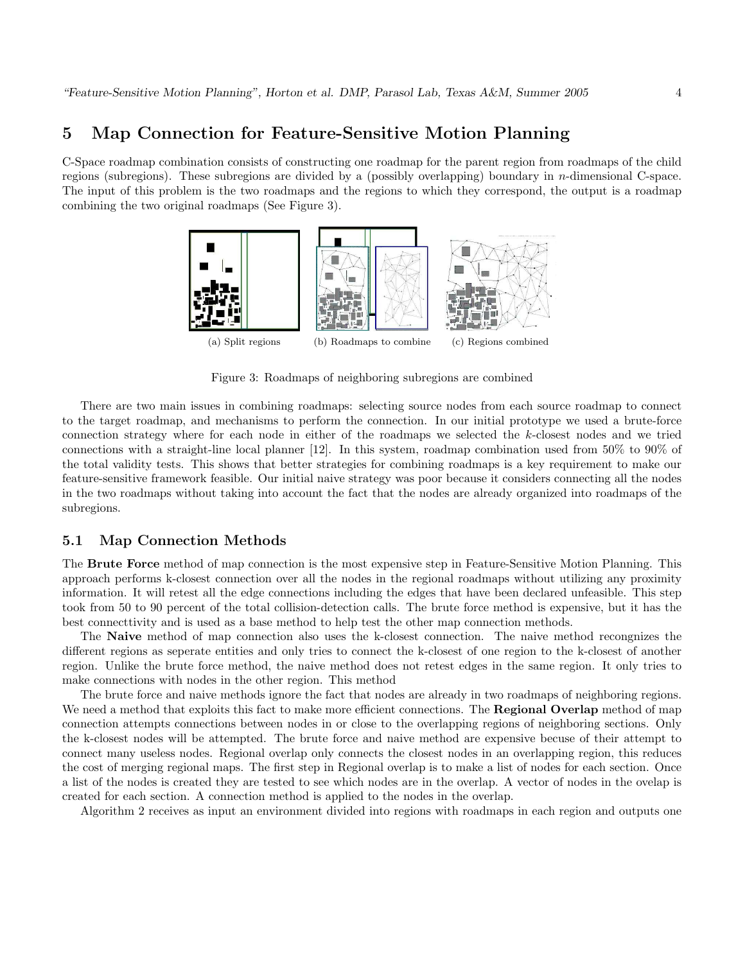#### 5 Map Connection for Feature-Sensitive Motion Planning

C-Space roadmap combination consists of constructing one roadmap for the parent region from roadmaps of the child regions (subregions). These subregions are divided by a (possibly overlapping) boundary in *n*-dimensional C-space. The input of this problem is the two roadmaps and the regions to which they correspond, the output is a roadmap combining the two original roadmaps (See Figure 3).



Figure 3: Roadmaps of neighboring subregions are combined

There are two main issues in combining roadmaps: selecting source nodes from each source roadmap to connect to the target roadmap, and mechanisms to perform the connection. In our initial prototype we used a brute-force connection strategy where for each node in either of the roadmaps we selected the k-closest nodes and we tried connections with a straight-line local planner [12]. In this system, roadmap combination used from 50% to 90% of the total validity tests. This shows that better strategies for combining roadmaps is a key requirement to make our feature-sensitive framework feasible. Our initial naive strategy was poor because it considers connecting all the nodes in the two roadmaps without taking into account the fact that the nodes are already organized into roadmaps of the subregions.

#### 5.1 Map Connection Methods

The Brute Force method of map connection is the most expensive step in Feature-Sensitive Motion Planning. This approach performs k-closest connection over all the nodes in the regional roadmaps without utilizing any proximity information. It will retest all the edge connections including the edges that have been declared unfeasible. This step took from 50 to 90 percent of the total collision-detection calls. The brute force method is expensive, but it has the best connecttivity and is used as a base method to help test the other map connection methods.

The Naive method of map connection also uses the k-closest connection. The naive method recongnizes the different regions as seperate entities and only tries to connect the k-closest of one region to the k-closest of another region. Unlike the brute force method, the naive method does not retest edges in the same region. It only tries to make connections with nodes in the other region. This method

The brute force and naive methods ignore the fact that nodes are already in two roadmaps of neighboring regions. We need a method that exploits this fact to make more efficient connections. The Regional Overlap method of map connection attempts connections between nodes in or close to the overlapping regions of neighboring sections. Only the k-closest nodes will be attempted. The brute force and naive method are expensive becuse of their attempt to connect many useless nodes. Regional overlap only connects the closest nodes in an overlapping region, this reduces the cost of merging regional maps. The first step in Regional overlap is to make a list of nodes for each section. Once a list of the nodes is created they are tested to see which nodes are in the overlap. A vector of nodes in the ovelap is created for each section. A connection method is applied to the nodes in the overlap.

Algorithm 2 receives as input an environment divided into regions with roadmaps in each region and outputs one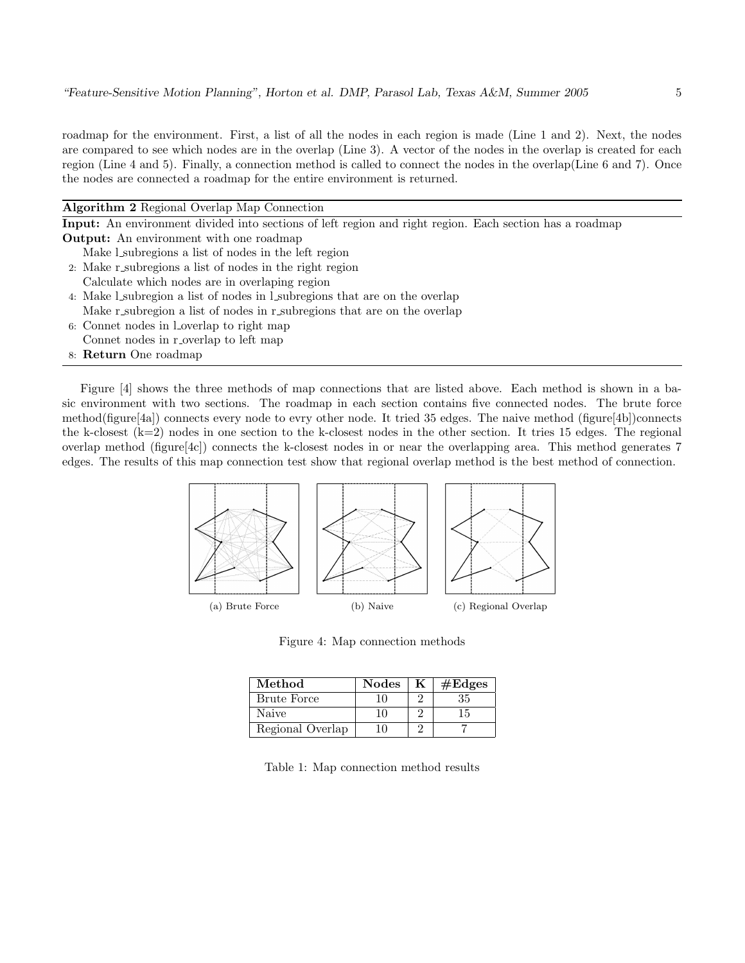roadmap for the environment. First, a list of all the nodes in each region is made (Line 1 and 2). Next, the nodes are compared to see which nodes are in the overlap (Line 3). A vector of the nodes in the overlap is created for each region (Line 4 and 5). Finally, a connection method is called to connect the nodes in the overlap(Line 6 and 7). Once the nodes are connected a roadmap for the entire environment is returned.

| Algorithm 2 Regional Overlap Map Connection                                                                    |
|----------------------------------------------------------------------------------------------------------------|
| <b>Input:</b> An environment divided into sections of left region and right region. Each section has a roadmap |
| <b>Output:</b> An environment with one roadmap                                                                 |
| Make L subregions a list of nodes in the left region                                                           |
| 2. Make r subregions a list of nodes in the right region                                                       |
| Calculate which nodes are in overlaping region                                                                 |
| 4. Make L subregion a list of nodes in L subregions that are on the overlap                                    |
| Make r subregion a list of nodes in r subregions that are on the overlap                                       |
| 6: Connet nodes in l overlap to right map                                                                      |
| Connet nodes in r overlap to left map                                                                          |
| 8: Return One roadmap                                                                                          |
|                                                                                                                |

Figure [4] shows the three methods of map connections that are listed above. Each method is shown in a basic environment with two sections. The roadmap in each section contains five connected nodes. The brute force method(figure[4a]) connects every node to evry other node. It tried 35 edges. The naive method (figure[4b])connects the k-closest  $(k=2)$  nodes in one section to the k-closest nodes in the other section. It tries 15 edges. The regional overlap method (figure[4c]) connects the k-closest nodes in or near the overlapping area. This method generates 7 edges. The results of this map connection test show that regional overlap method is the best method of connection.



Figure 4: Map connection methods

| Method             | <b>Nodes</b> | $\#\text{Edges}$ |
|--------------------|--------------|------------------|
| <b>Brute Force</b> |              | 35               |
| Naive              |              | 15               |
| Regional Overlap   |              |                  |

Table 1: Map connection method results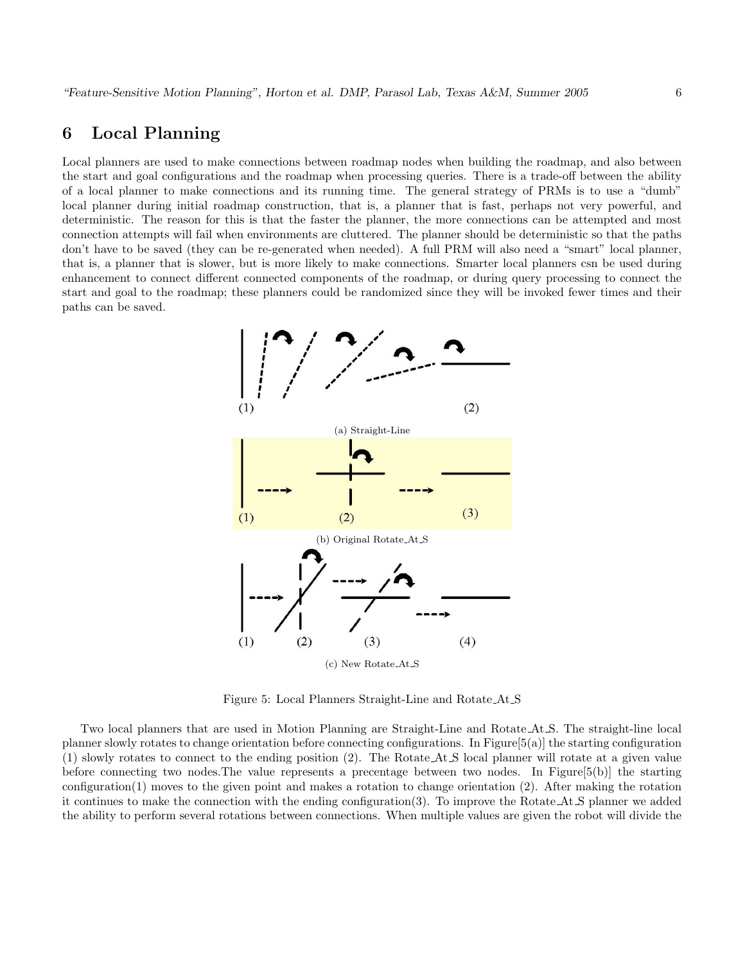### 6 Local Planning

Local planners are used to make connections between roadmap nodes when building the roadmap, and also between the start and goal configurations and the roadmap when processing queries. There is a trade-off between the ability of a local planner to make connections and its running time. The general strategy of PRMs is to use a "dumb" local planner during initial roadmap construction, that is, a planner that is fast, perhaps not very powerful, and deterministic. The reason for this is that the faster the planner, the more connections can be attempted and most connection attempts will fail when environments are cluttered. The planner should be deterministic so that the paths don't have to be saved (they can be re-generated when needed). A full PRM will also need a "smart" local planner, that is, a planner that is slower, but is more likely to make connections. Smarter local planners csn be used during enhancement to connect different connected components of the roadmap, or during query processing to connect the start and goal to the roadmap; these planners could be randomized since they will be invoked fewer times and their paths can be saved.



Figure 5: Local Planners Straight-Line and Rotate At S

Two local planners that are used in Motion Planning are Straight-Line and Rotate At S. The straight-line local planner slowly rotates to change orientation before connecting configurations. In Figure[5(a)] the starting configuration (1) slowly rotates to connect to the ending position (2). The Rotate At S local planner will rotate at a given value before connecting two nodes.The value represents a precentage between two nodes. In Figure[5(b)] the starting configuration(1) moves to the given point and makes a rotation to change orientation (2). After making the rotation it continues to make the connection with the ending configuration(3). To improve the Rotate At S planner we added the ability to perform several rotations between connections. When multiple values are given the robot will divide the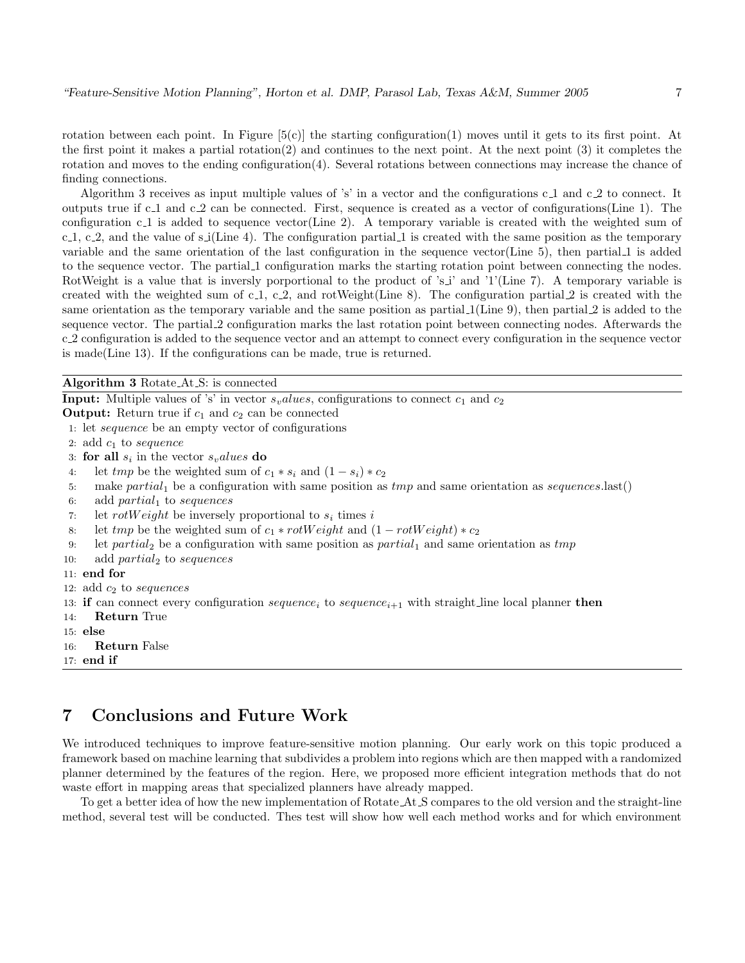rotation between each point. In Figure  $[5(c)]$  the starting configuration(1) moves until it gets to its first point. At the first point it makes a partial rotation(2) and continues to the next point. At the next point (3) it completes the rotation and moves to the ending configuration(4). Several rotations between connections may increase the chance of finding connections.

Algorithm 3 receives as input multiple values of 's' in a vector and the configurations  $c_1$  and  $c_2$  to connect. It outputs true if c 1 and c 2 can be connected. First, sequence is created as a vector of configurations(Line 1). The configuration c 1 is added to sequence vector(Line 2). A temporary variable is created with the weighted sum of c.1, c.2, and the value of s i(Line 4). The configuration partial 1 is created with the same position as the temporary variable and the same orientation of the last configuration in the sequence vector(Line 5), then partial 1 is added to the sequence vector. The partial 1 configuration marks the starting rotation point between connecting the nodes. RotWeight is a value that is inversly porportional to the product of 's i' and '1'(Line 7). A temporary variable is created with the weighted sum of c<sub>-1</sub>, c<sub>-2</sub>, and rotWeight(Line 8). The configuration partial 2 is created with the same orientation as the temporary variable and the same position as partial 1(Line 9), then partial 2 is added to the sequence vector. The partial 2 configuration marks the last rotation point between connecting nodes. Afterwards the c 2 configuration is added to the sequence vector and an attempt to connect every configuration in the sequence vector is made(Line 13). If the configurations can be made, true is returned.

Algorithm 3 Rotate At S: is connected

| <b>Input:</b> Multiple values of 's' in vector $s_{v}$ <i>alues</i> , configurations to connect $c_1$ and $c_2$                             |
|---------------------------------------------------------------------------------------------------------------------------------------------|
| <b>Output:</b> Return true if $c_1$ and $c_2$ can be connected                                                                              |
| 1. let <i>sequence</i> be an empty vector of configurations                                                                                 |
| 2: add $c_1$ to sequence                                                                                                                    |
| 3: for all $s_i$ in the vector $s_{\nu}$ alues do                                                                                           |
| let tmp be the weighted sum of $c_1 * s_i$ and $(1 - s_i) * c_2$<br>4:                                                                      |
| make partial <sub>1</sub> be a configuration with same position as $tmp$ and same orientation as sequences.last()<br>5:                     |
| add $partial_1$ to sequences<br>6:                                                                                                          |
| let rotWeight be inversely proportional to $s_i$ times i<br>7:                                                                              |
| let tmp be the weighted sum of $c_1 * rotWeight$ and $(1 - rotWeight) * c_2$<br>8.                                                          |
| let partial <sub>2</sub> be a configuration with same position as partial <sub>1</sub> and same orientation as $tmp$<br>9:                  |
| add $partial_2$ to sequences<br>10:                                                                                                         |
| $11:$ end for                                                                                                                               |
| 12: add $c_2$ to sequences                                                                                                                  |
| 13: if can connect every configuration <i>sequence</i> <sub>i</sub> to <i>sequence</i> <sub>i+1</sub> with straight line local planner then |
| <b>Return</b> True<br>14:                                                                                                                   |
| $15:$ else                                                                                                                                  |
| <b>Return False</b><br>16:                                                                                                                  |
| $17:$ end if                                                                                                                                |

### 7 Conclusions and Future Work

We introduced techniques to improve feature-sensitive motion planning. Our early work on this topic produced a framework based on machine learning that subdivides a problem into regions which are then mapped with a randomized planner determined by the features of the region. Here, we proposed more efficient integration methods that do not waste effort in mapping areas that specialized planners have already mapped.

To get a better idea of how the new implementation of Rotate At S compares to the old version and the straight-line method, several test will be conducted. Thes test will show how well each method works and for which environment